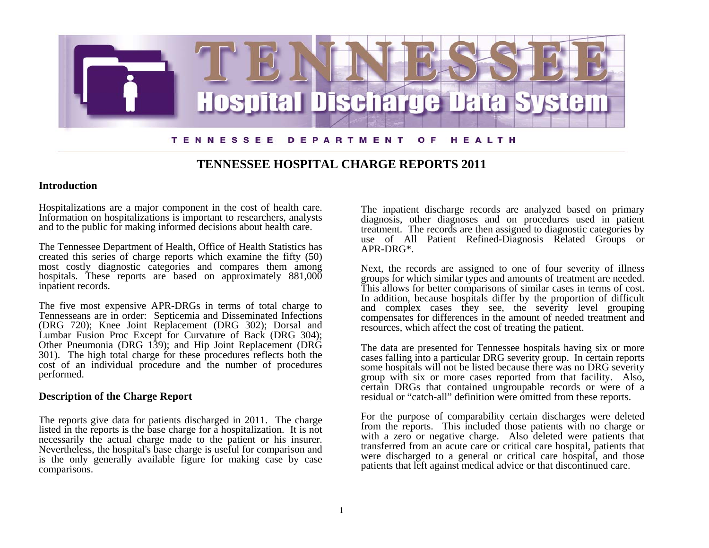

## **TENNESSEE HOSPITAL CHARGE REPORTS 2011**

### **Introduction**

Hospitalizations are a major component in the cost of health care. Information on hospitalizations is important to researchers, analysts and to the public for making informed decisions about health care.

The Tennessee Department of Health, Office of Health Statistics has created this series of charge reports which examine the fifty (50) most costly diagnostic categories and compares them among hospitals. These reports are based on approximately  $881,000$ inpatient records.

The five most expensive APR-DRGs in terms of total charge to Tennesseans are in order: Septicemia and Disseminated Infections (DRG 720); Knee Joint Replacement (DRG 302); Dorsal and Lumbar Fusion Proc Except for Curvature of Back (DRG 304); Other Pneumonia (DRG 139); and Hip Joint Replacement (DRG 301). The high total charge for these procedures reflects both the cost of an individual procedure and the number of procedures performed.

### **Description of the Charge Report**

The reports give data for patients discharged in 2011. The charge listed in the reports is the base charge for a hospitalization. It is not necessarily the actual charge made to the patient or his insurer. Nevertheless, the hospital's base charge is useful for comparison and is the only generally available figure for making case by case comparisons.

The inpatient discharge records are analyzed based on primary diagnosis, other diagnoses and on procedures used in patient treatment. The records are then assigned to diagnostic categories by use of All Patient Refined-Diagnosis Related Groups or APR-DRG\*.

Next, the records are assigned to one of four severity of illness groups for which similar types and amounts of treatment are needed. This allows for better comparisons of similar cases in terms of cost. In addition, because hospitals differ by the proportion of difficult and complex cases they see, the severity level grouping compensates for differences in the amount of needed treatment and resources, which affect the cost of treating the patient.

The data are presented for Tennessee hospitals having six or more cases falling into a particular DRG severity group. In certain reports some hospitals will not be listed because there was no DRG severity group with six or more cases reported from that facility. Also, certain DRGs that contained ungroupable records or were of a residual or "catch-all" definition were omitted from these reports.

For the purpose of comparability certain discharges were deleted from the reports. This included those patients with no charge or with a zero or negative charge. Also deleted were patients that transferred from an acute care or critical care hospital, patients that were discharged to a general or critical care hospital, and those patients that left against medical advice or that discontinued care.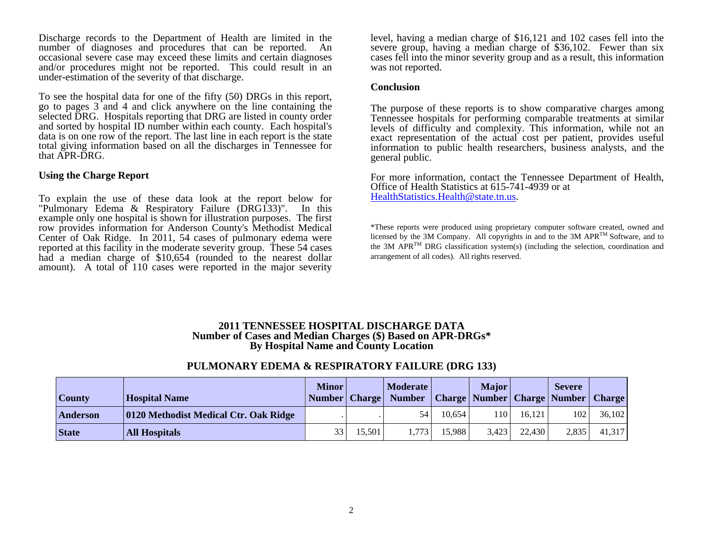Discharge records to the Department of Health are limited in the number of diagnoses and procedures that can be reported. An occasional severe case may exceed these limits and certain diagnoses and/or procedures might not be reported. This could result in an under-estimation of the severity of that discharge.

To see the hospital data for one of the fifty (50) DRGs in this report, go to pages 3 and 4 and click anywhere on the line containing the selected DRG. Hospitals reporting that DRG are listed in county order and sorted by hospital ID number within each county. Each hospital's data is on one row of the report. The last line in each report is the state total giving information based on all the discharges in Tennessee for that APR-DRG.

#### **Using the Charge Report**

To explain the use of these data look at the report below for "Pulmonary Edema & Respiratory Failure (DRG133)". In this example only one hospital is shown for illustration purposes. The first row provides information for Anderson County's Methodist Medical Center of Oak Ridge. In 2011, 54 cases of pulmonary edema were reported at this facility in the moderate severity group. These 54 cases had a median charge of \$10,654 (rounded to the nearest dollar amount). A total of 110 cases were reported in the major severity

level, having a median charge of \$16,121 and 102 cases fell into the severe group, having a median charge of \$36,102. Fewer than six cases fell into the minor severity group and as a result, this information was not reported.

#### **Conclusion**

The purpose of these reports is to show comparative charges among Tennessee hospitals for performing comparable treatments at similar levels of difficulty and complexity. This information, while not an exact representation of the actual cost per patient, provides useful information to public health researchers, business analysts, and the general public.

For more information, contact the Tennessee Department of Health, Office of Health Statistics at 615-741-4939 or at HealthStatistics.Health@state.tn.us[.](mailto:HealthStatistics.Health@state.tn.us) 

\*These reports were produced using proprietary computer software created, owned and licensed by the 3M Company. All copyrights in and to the 3M APRTM Software, and to the 3M APR<sup>TM</sup> DRG classification system(s) (including the selection, coordination and arrangement of all codes). All rights reserved.

### **2011 TENNESSEE HOSPITAL DISCHARGE DATA Number of Cases and Median Charges (\$) Based on APR-DRGs\* By Hospital Name and County Location**

## **PULMONARY EDEMA & RESPIRATORY FAILURE (DRG 133)**

| County       | <b>Hospital Name</b>                  | <b>Minor</b><br>Number   Charge |        | <b>Moderate</b><br><b>Number</b> |        | <b>Major</b><br><b>Charge   Number   Charge   Number  </b> |        | <b>Severe</b> | <b>Charge</b> |
|--------------|---------------------------------------|---------------------------------|--------|----------------------------------|--------|------------------------------------------------------------|--------|---------------|---------------|
| Anderson     | 0120 Methodist Medical Ctr. Oak Ridge |                                 |        | 54                               | 10.654 | .10                                                        | 16.121 | 102           | 36,102        |
| <b>State</b> | <b>All Hospitals</b>                  | 33                              | 15.501 | 1.773                            | 15.988 | 3.423                                                      | 22,430 | 2,835         | 41,317        |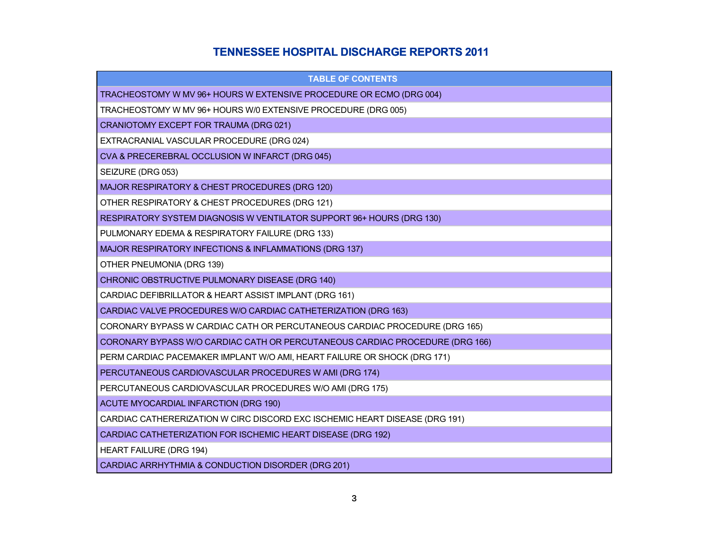# **TENNESSEE HOSPITAL DISCHARGE REPORTS 2011**

| <b>TABLE OF CONTENTS</b>                                                     |
|------------------------------------------------------------------------------|
| TRACHEOSTOMY W MV 96+ HOURS W EXTENSIVE PROCEDURE OR ECMO (DRG 004)          |
| TRACHEOSTOMY W MV 96+ HOURS W/0 EXTENSIVE PROCEDURE (DRG 005)                |
| CRANIOTOMY EXCEPT FOR TRAUMA (DRG 021)                                       |
| EXTRACRANIAL VASCULAR PROCEDURE (DRG 024)                                    |
| CVA & PRECEREBRAL OCCLUSION W INFARCT (DRG 045)                              |
| SEIZURE (DRG 053)                                                            |
| MAJOR RESPIRATORY & CHEST PROCEDURES (DRG 120)                               |
| OTHER RESPIRATORY & CHEST PROCEDURES (DRG 121)                               |
| RESPIRATORY SYSTEM DIAGNOSIS W VENTILATOR SUPPORT 96+ HOURS (DRG 130)        |
| PULMONARY EDEMA & RESPIRATORY FAILURE (DRG 133)                              |
| MAJOR RESPIRATORY INFECTIONS & INFLAMMATIONS (DRG 137)                       |
| OTHER PNEUMONIA (DRG 139)                                                    |
| CHRONIC OBSTRUCTIVE PULMONARY DISEASE (DRG 140)                              |
| CARDIAC DEFIBRILLATOR & HEART ASSIST IMPLANT (DRG 161)                       |
| CARDIAC VALVE PROCEDURES W/O CARDIAC CATHETERIZATION (DRG 163)               |
| CORONARY BYPASS W CARDIAC CATH OR PERCUTANEOUS CARDIAC PROCEDURE (DRG 165)   |
| CORONARY BYPASS W/O CARDIAC CATH OR PERCUTANEOUS CARDIAC PROCEDURE (DRG 166) |
| PERM CARDIAC PACEMAKER IMPLANT W/O AMI, HEART FAILURE OR SHOCK (DRG 171)     |
| PERCUTANEOUS CARDIOVASCULAR PROCEDURES W AMI (DRG 174)                       |
| PERCUTANEOUS CARDIOVASCULAR PROCEDURES W/O AMI (DRG 175)                     |
| ACUTE MYOCARDIAL INFARCTION (DRG 190)                                        |
| CARDIAC CATHERERIZATION W CIRC DISCORD EXC ISCHEMIC HEART DISEASE (DRG 191)  |
| CARDIAC CATHETERIZATION FOR ISCHEMIC HEART DISEASE (DRG 192)                 |
| <b>HEART FAILURE (DRG 194)</b>                                               |
| CARDIAC ARRHYTHMIA & CONDUCTION DISORDER (DRG 201)                           |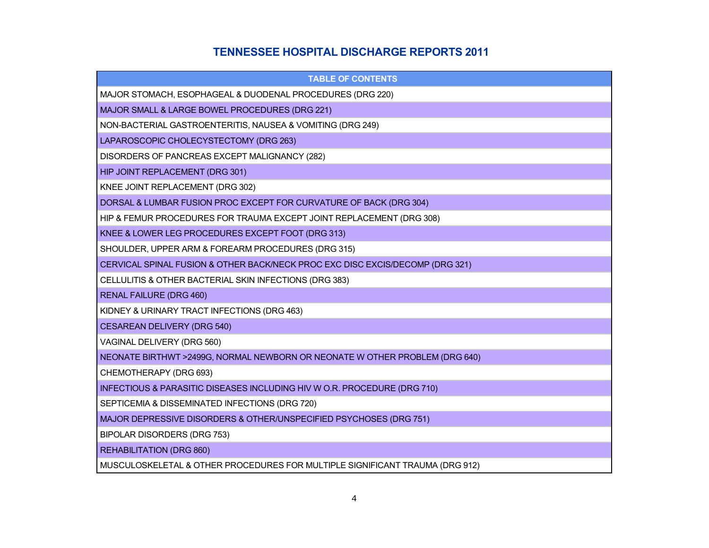# **TENNESSEE HOSPITAL DISCHARGE REPORTS 2011**

| <b>TABLE OF CONTENTS</b>                                                      |
|-------------------------------------------------------------------------------|
| MAJOR STOMACH, ESOPHAGEAL & DUODENAL PROCEDURES (DRG 220)                     |
| MAJOR SMALL & LARGE BOWEL PROCEDURES (DRG 221)                                |
| NON-BACTERIAL GASTROENTERITIS, NAUSEA & VOMITING (DRG 249)                    |
| LAPAROSCOPIC CHOLECYSTECTOMY (DRG 263)                                        |
| DISORDERS OF PANCREAS EXCEPT MALIGNANCY (282)                                 |
| HIP JOINT REPLACEMENT (DRG 301)                                               |
| KNEE JOINT REPLACEMENT (DRG 302)                                              |
| DORSAL & LUMBAR FUSION PROC EXCEPT FOR CURVATURE OF BACK (DRG 304)            |
| HIP & FEMUR PROCEDURES FOR TRAUMA EXCEPT JOINT REPLACEMENT (DRG 308)          |
| KNEE & LOWER LEG PROCEDURES EXCEPT FOOT (DRG 313)                             |
| SHOULDER, UPPER ARM & FOREARM PROCEDURES (DRG 315)                            |
| CERVICAL SPINAL FUSION & OTHER BACK/NECK PROC EXC DISC EXCIS/DECOMP (DRG 321) |
| CELLULITIS & OTHER BACTERIAL SKIN INFECTIONS (DRG 383)                        |
| <b>RENAL FAILURE (DRG 460)</b>                                                |
| KIDNEY & URINARY TRACT INFECTIONS (DRG 463)                                   |
| <b>CESAREAN DELIVERY (DRG 540)</b>                                            |
| VAGINAL DELIVERY (DRG 560)                                                    |
| NEONATE BIRTHWT >2499G, NORMAL NEWBORN OR NEONATE W OTHER PROBLEM (DRG 640)   |
| CHEMOTHERAPY (DRG 693)                                                        |
| INFECTIOUS & PARASITIC DISEASES INCLUDING HIV W O.R. PROCEDURE (DRG 710)      |
| SEPTICEMIA & DISSEMINATED INFECTIONS (DRG 720)                                |
| MAJOR DEPRESSIVE DISORDERS & OTHER/UNSPECIFIED PSYCHOSES (DRG 751)            |
| BIPOLAR DISORDERS (DRG 753)                                                   |
| <b>REHABILITATION (DRG 860)</b>                                               |
| MUSCULOSKELETAL & OTHER PROCEDURES FOR MULTIPLE SIGNIFICANT TRAUMA (DRG 912)  |